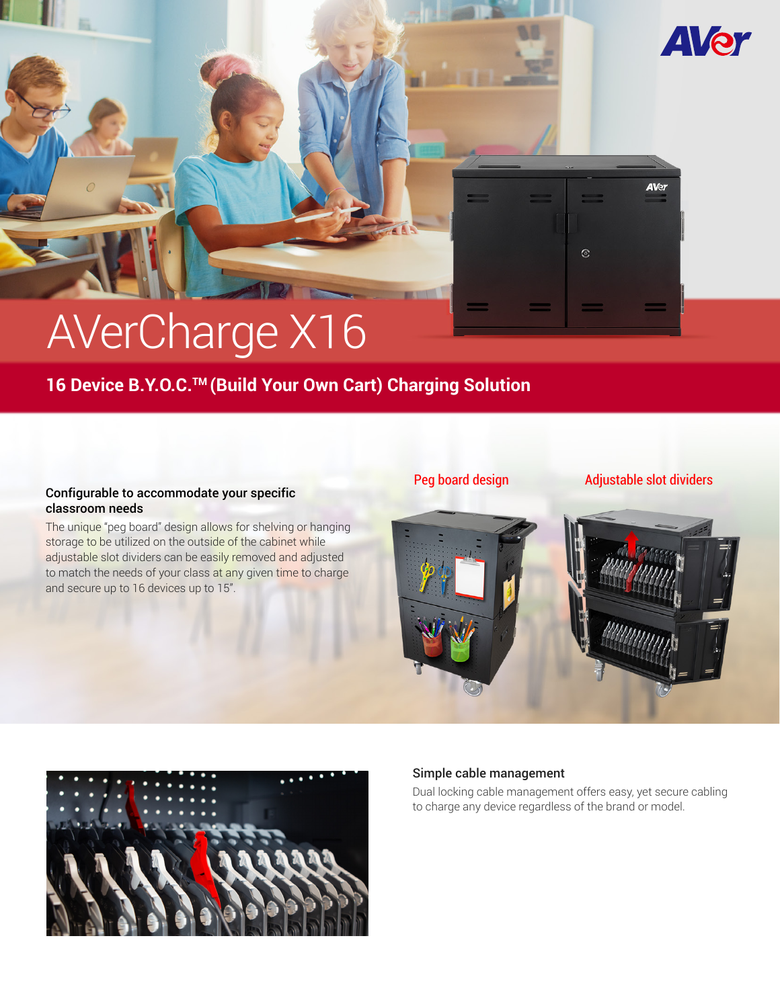# AVerCharge X16

## **16 Device B.Y.O.C.TM (Build Your Own Cart) Charging Solution**

#### Configurable to accommodate your specific classroom needs

The unique "peg board" design allows for shelving or hanging storage to be utilized on the outside of the cabinet while adjustable slot dividers can be easily removed and adjusted to match the needs of your class at any given time to charge and secure up to 16 devices up to 15".

#### Peg board design Adjustable slot dividers

**AVer** 

 $\hat{\mathcal{E}}$ 

**AVer** 





#### Simple cable management

Dual locking cable management offers easy, yet secure cabling to charge any device regardless of the brand or model.